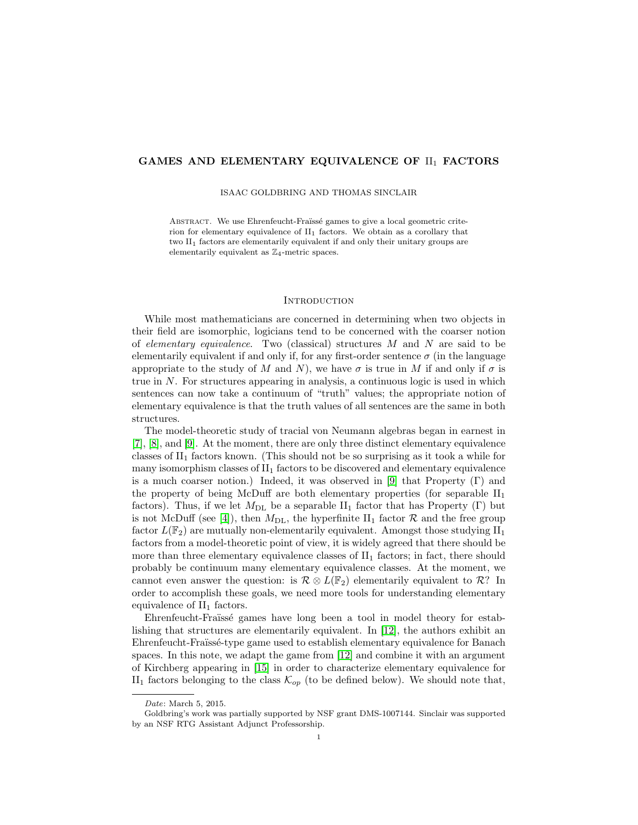## GAMES AND ELEMENTARY EQUIVALENCE OF  $\text{II}_1$  FACTORS

ISAAC GOLDBRING AND THOMAS SINCLAIR

ABSTRACT. We use Ehrenfeucht-Fraïssé games to give a local geometric criterion for elementary equivalence of  $II_1$  factors. We obtain as a corollary that two II<sub>1</sub> factors are elementarily equivalent if and only their unitary groups are elementarily equivalent as  $\mathbb{Z}_4$ -metric spaces.

### **INTRODUCTION**

While most mathematicians are concerned in determining when two objects in their field are isomorphic, logicians tend to be concerned with the coarser notion of elementary equivalence. Two (classical) structures  $M$  and  $N$  are said to be elementarily equivalent if and only if, for any first-order sentence  $\sigma$  (in the language appropriate to the study of M and N), we have  $\sigma$  is true in M if and only if  $\sigma$  is true in N. For structures appearing in analysis, a continuous logic is used in which sentences can now take a continuum of "truth" values; the appropriate notion of elementary equivalence is that the truth values of all sentences are the same in both structures.

The model-theoretic study of tracial von Neumann algebras began in earnest in [\[7\]](#page-12-0), [\[8\]](#page-12-1), and [\[9\]](#page-12-2). At the moment, there are only three distinct elementary equivalence classes of  $II_1$  factors known. (This should not be so surprising as it took a while for many isomorphism classes of  $II<sub>1</sub>$  factors to be discovered and elementary equivalence is a much coarser notion.) Indeed, it was observed in [\[9\]](#page-12-2) that Property  $(Γ)$  and the property of being McDuff are both elementary properties (for separable  $II_1$ ) factors). Thus, if we let  $M_{\text{DL}}$  be a separable  $II_1$  factor that has Property (Γ) but is not McDuff (see [\[4\]](#page-11-0)), then  $M_{\text{DL}}$ , the hyperfinite II<sub>1</sub> factor  $\mathcal{R}$  and the free group factor  $L(\mathbb{F}_2)$  are mutually non-elementarily equivalent. Amongst those studying  $II_1$ factors from a model-theoretic point of view, it is widely agreed that there should be more than three elementary equivalence classes of  $II<sub>1</sub>$  factors; in fact, there should probably be continuum many elementary equivalence classes. At the moment, we cannot even answer the question: is  $\mathcal{R} \otimes L(\mathbb{F}_2)$  elementarily equivalent to  $\mathcal{R}$ ? In order to accomplish these goals, we need more tools for understanding elementary equivalence of  $II_1$  factors.

Ehrenfeucht-Fraïssé games have long been a tool in model theory for establishing that structures are elementarily equivalent. In [\[12\]](#page-12-3), the authors exhibit an Ehrenfeucht-Fraïssé-type game used to establish elementary equivalence for Banach spaces. In this note, we adapt the game from [\[12\]](#page-12-3) and combine it with an argument of Kirchberg appearing in [\[15\]](#page-12-4) in order to characterize elementary equivalence for II<sub>1</sub> factors belonging to the class  $\mathcal{K}_{op}$  (to be defined below). We should note that,

Date: March 5, 2015.

Goldbring's work was partially supported by NSF grant DMS-1007144. Sinclair was supported by an NSF RTG Assistant Adjunct Professorship.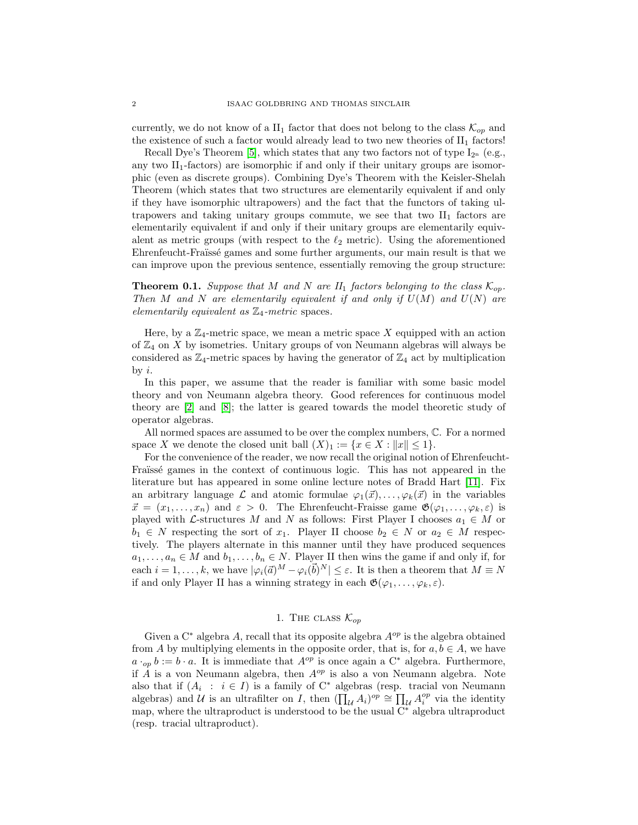currently, we do not know of a  $II_1$  factor that does not belong to the class  $\mathcal{K}_{op}$  and the existence of such a factor would already lead to two new theories of  $II_1$  factors!

Recall Dye's Theorem [\[5\]](#page-11-1), which states that any two factors not of type  $I_{2^n}$  (e.g., any two  $II_1$ -factors) are isomorphic if and only if their unitary groups are isomorphic (even as discrete groups). Combining Dye's Theorem with the Keisler-Shelah Theorem (which states that two structures are elementarily equivalent if and only if they have isomorphic ultrapowers) and the fact that the functors of taking ultrapowers and taking unitary groups commute, we see that two  $II_1$  factors are elementarily equivalent if and only if their unitary groups are elementarily equivalent as metric groups (with respect to the  $\ell_2$  metric). Using the aforementioned Ehrenfeucht-Fraïssé games and some further arguments, our main result is that we can improve upon the previous sentence, essentially removing the group structure:

**Theorem 0.1.** Suppose that M and N are  $II_1$  factors belonging to the class  $\mathcal{K}_{op}$ . Then M and N are elementarily equivalent if and only if  $U(M)$  and  $U(N)$  are elementarily equivalent as  $\mathbb{Z}_4$ -metric spaces.

Here, by a  $\mathbb{Z}_4$ -metric space, we mean a metric space X equipped with an action of  $\mathbb{Z}_4$  on X by isometries. Unitary groups of von Neumann algebras will always be considered as  $\mathbb{Z}_4$ -metric spaces by having the generator of  $\mathbb{Z}_4$  act by multiplication by  $i$ .

In this paper, we assume that the reader is familiar with some basic model theory and von Neumann algebra theory. Good references for continuous model theory are [\[2\]](#page-11-2) and [\[8\]](#page-12-1); the latter is geared towards the model theoretic study of operator algebras.

All normed spaces are assumed to be over the complex numbers, C. For a normed space X we denote the closed unit ball  $(X)_1 := \{x \in X : ||x|| \leq 1\}.$ 

For the convenience of the reader, we now recall the original notion of Ehrenfeucht-Fraïssé games in the context of continuous logic. This has not appeared in the literature but has appeared in some online lecture notes of Bradd Hart [\[11\]](#page-12-5). Fix an arbitrary language  $\mathcal L$  and atomic formulae  $\varphi_1(\vec{x}), \ldots, \varphi_k(\vec{x})$  in the variables  $\vec{x} = (x_1, \ldots, x_n)$  and  $\varepsilon > 0$ . The Ehrenfeucht-Fraisse game  $\mathfrak{G}(\varphi_1, \ldots, \varphi_k, \varepsilon)$  is played with L-structures M and N as follows: First Player I chooses  $a_1 \in M$  or  $b_1 \in N$  respecting the sort of  $x_1$ . Player II choose  $b_2 \in N$  or  $a_2 \in M$  respectively. The players alternate in this manner until they have produced sequences  $a_1, \ldots, a_n \in M$  and  $b_1, \ldots, b_n \in N$ . Player II then wins the game if and only if, for each  $i = 1, \ldots, k$ , we have  $|\varphi_i(\vec{a})^M - \varphi_i(\vec{b})^N| \leq \varepsilon$ . It is then a theorem that  $M \equiv N$ if and only Player II has a winning strategy in each  $\mathfrak{G}(\varphi_1, \ldots, \varphi_k, \varepsilon)$ .

# 1. The class  $\mathcal{K}_{op}$

Given a  $C^*$  algebra A, recall that its opposite algebra  $A^{op}$  is the algebra obtained from A by multiplying elements in the opposite order, that is, for  $a, b \in A$ , we have  $a \cdot_{op} b := b \cdot a$ . It is immediate that  $A^{op}$  is once again a C<sup>∗</sup> algebra. Furthermore, if  $\hat{A}$  is a von Neumann algebra, then  $A^{op}$  is also a von Neumann algebra. Note also that if  $(A_i : i \in I)$  is a family of  $C^*$  algebras (resp. tracial von Neumann algebras) and U is an ultrafilter on I, then  $(\prod_{\mathcal{U}} A_i)^{op} \cong \prod_{\mathcal{U}} A_i^{op}$  via the identity map, where the ultraproduct is understood to be the usual C<sup>∗</sup> algebra ultraproduct (resp. tracial ultraproduct).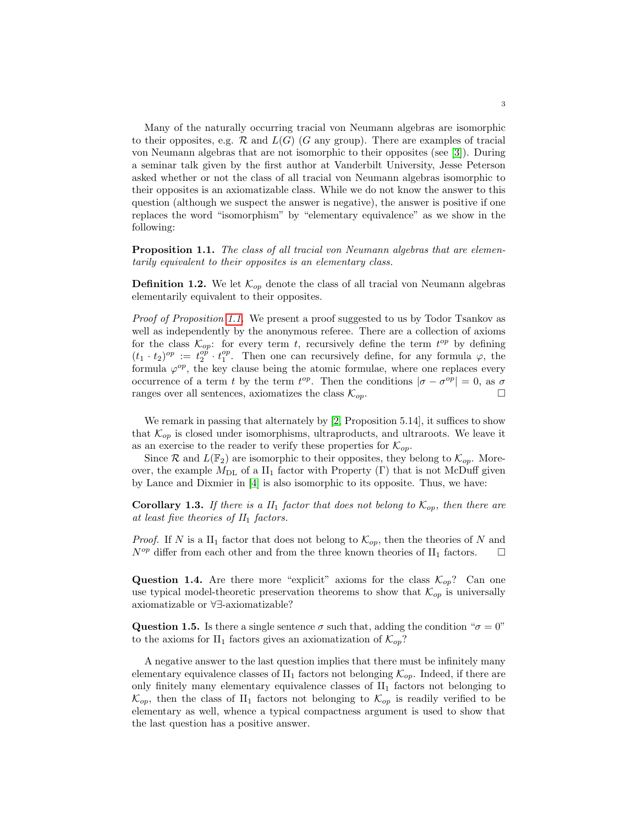Many of the naturally occurring tracial von Neumann algebras are isomorphic to their opposites, e.g.  $\mathcal R$  and  $L(G)$  (G any group). There are examples of tracial von Neumann algebras that are not isomorphic to their opposites (see [\[3\]](#page-11-3)). During a seminar talk given by the first author at Vanderbilt University, Jesse Peterson asked whether or not the class of all tracial von Neumann algebras isomorphic to their opposites is an axiomatizable class. While we do not know the answer to this question (although we suspect the answer is negative), the answer is positive if one replaces the word "isomorphism" by "elementary equivalence" as we show in the following:

<span id="page-2-0"></span>**Proposition 1.1.** The class of all tracial von Neumann algebras that are elementarily equivalent to their opposites is an elementary class.

**Definition 1.2.** We let  $\mathcal{K}_{op}$  denote the class of all tracial von Neumann algebras elementarily equivalent to their opposites.

Proof of Proposition [1.1.](#page-2-0) We present a proof suggested to us by Todor Tsankov as well as independently by the anonymous referee. There are a collection of axioms for the class  $\mathcal{K}_{op}$ : for every term t, recursively define the term  $t^{op}$  by defining  $(t_1 \cdot t_2)^{op} := t_2^{op} \cdot t_1^{op}$ . Then one can recursively define, for any formula  $\varphi$ , the formula  $\varphi^{op}$ , the key clause being the atomic formulae, where one replaces every occurrence of a term t by the term  $t^{op}$ . Then the conditions  $|\sigma - \sigma^{op}| = 0$ , as  $\sigma$ ranges over all sentences, axiomatizes the class  $\mathcal{K}_{op}$ .

We remark in passing that alternately by [\[2,](#page-11-2) Proposition 5.14], it suffices to show that  $\mathcal{K}_{op}$  is closed under isomorphisms, ultraproducts, and ultraroots. We leave it as an exercise to the reader to verify these properties for  $\mathcal{K}_{op}$ .

Since R and  $L(\mathbb{F}_2)$  are isomorphic to their opposites, they belong to  $\mathcal{K}_{op}$ . Moreover, the example  $M_{\text{DL}}$  of a II<sub>1</sub> factor with Property (Γ) that is not McDuff given by Lance and Dixmier in [\[4\]](#page-11-0) is also isomorphic to its opposite. Thus, we have:

**Corollary 1.3.** If there is a  $II_1$  factor that does not belong to  $\mathcal{K}_{op}$ , then there are at least five theories of  $II_1$  factors.

*Proof.* If N is a II<sub>1</sub> factor that does not belong to  $\mathcal{K}_{op}$ , then the theories of N and  $N^{op}$  differ from each other and from the three known theories of  $II_1$  factors.  $\Box$ 

Question 1.4. Are there more "explicit" axioms for the class  $\mathcal{K}_{op}$ ? Can one use typical model-theoretic preservation theorems to show that  $\mathcal{K}_{op}$  is universally axiomatizable or ∀∃-axiomatizable?

**Question 1.5.** Is there a single sentence  $\sigma$  such that, adding the condition " $\sigma = 0$ " to the axioms for II<sub>1</sub> factors gives an axiomatization of  $\mathcal{K}_{op}$ ?

A negative answer to the last question implies that there must be infinitely many elementary equivalence classes of  $II_1$  factors not belonging  $\mathcal{K}_{op}$ . Indeed, if there are only finitely many elementary equivalence classes of  $II_1$  factors not belonging to  $\mathcal{K}_{op}$ , then the class of II<sub>1</sub> factors not belonging to  $\mathcal{K}_{op}$  is readily verified to be elementary as well, whence a typical compactness argument is used to show that the last question has a positive answer.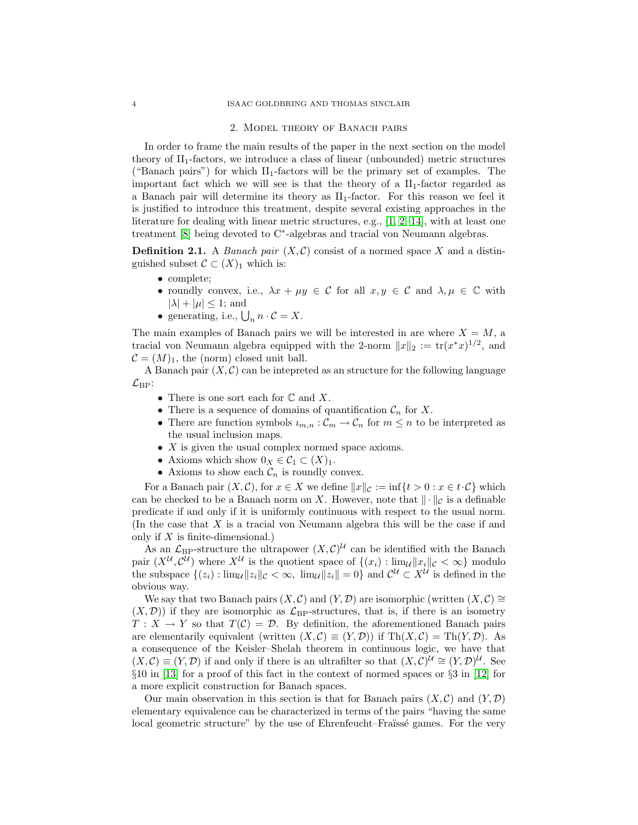#### 2. Model theory of Banach pairs

In order to frame the main results of the paper in the next section on the model theory of  $II_1$ -factors, we introduce a class of linear (unbounded) metric structures ("Banach pairs") for which  $II_1$ -factors will be the primary set of examples. The important fact which we will see is that the theory of a  $II_1$ -factor regarded as a Banach pair will determine its theory as  $II_1$ -factor. For this reason we feel it is justified to introduce this treatment, despite several existing approaches in the literature for dealing with linear metric structures, e.g., [\[1,](#page-11-4) [2,](#page-11-2) [14\]](#page-12-6), with at least one treatment [\[8\]](#page-12-1) being devoted to C<sup>∗</sup>-algebras and tracial von Neumann algebras.

**Definition 2.1.** A *Banach pair*  $(X, \mathcal{C})$  consist of a normed space X and a distinguished subset  $\mathcal{C} \subset (X)_1$  which is:

- complete;
- roundly convex, i.e.,  $\lambda x + \mu y \in C$  for all  $x, y \in C$  and  $\lambda, \mu \in \mathbb{C}$  with  $|\lambda| + |\mu| \leq 1$ ; and
- generating, i.e.,  $\bigcup_n n \cdot C = X$ .

The main examples of Banach pairs we will be interested in are where  $X = M$ , a tracial von Neumann algebra equipped with the 2-norm  $||x||_2 := \text{tr}(x^*x)^{1/2}$ , and  $\mathcal{C} = (M)_1$ , the (norm) closed unit ball.

A Banach pair  $(X, \mathcal{C})$  can be intepreted as an structure for the following language  $\mathcal{L}_{\text{BP}}$ :

- There is one sort each for  $\mathbb C$  and  $X$ .
- There is a sequence of domains of quantification  $\mathcal{C}_n$  for X.
- There are function symbols  $u_{m,n} : C_m \to C_n$  for  $m \leq n$  to be interpreted as the usual inclusion maps.
- X is given the usual complex normed space axioms.
- Axioms which show  $0_X \in C_1 \subset (X)_1$ .
- Axioms to show each  $C_n$  is roundly convex.

For a Banach pair  $(X, \mathcal{C})$ , for  $x \in X$  we define  $||x||_{\mathcal{C}} := \inf\{t > 0 : x \in t \cdot \mathcal{C}\}\$  which can be checked to be a Banach norm on X. However, note that  $\|\cdot\|_{\mathcal{C}}$  is a definable predicate if and only if it is uniformly continuous with respect to the usual norm. (In the case that X is a tracial von Neumann algebra this will be the case if and only if  $X$  is finite-dimensional.)

As an  $\mathcal{L}_{\text{BP}}$ -structure the ultrapower  $(X, \mathcal{C})^{\mathcal{U}}$  can be identified with the Banach pair  $(X^{\mathcal{U}}, \mathcal{C}^{\mathcal{U}})$  where  $X^{\mathcal{U}}$  is the quotient space of  $\{(x_i) : \lim_{\mathcal{U}} ||x_i||_{\mathcal{C}} < \infty\}$  modulo the subspace  $\{(z_i): \lim_{\mathcal{U}} ||z_i||_{\mathcal{C}} < \infty, \lim_{\mathcal{U}} ||z_i|| = 0\}$  and  $\mathcal{C}^{\mathcal{U}} \subset X^{\mathcal{U}}$  is defined in the obvious way.

We say that two Banach pairs  $(X, \mathcal{C})$  and  $(Y, \mathcal{D})$  are isomorphic (written  $(X, \mathcal{C}) \cong$  $(X, \mathcal{D})$  if they are isomorphic as  $\mathcal{L}_{\text{BP}}$ -structures, that is, if there is an isometry  $T: X \to Y$  so that  $T(\mathcal{C}) = \mathcal{D}$ . By definition, the aforementioned Banach pairs are elementarily equivalent (written  $(X, \mathcal{C}) \equiv (Y, \mathcal{D})$ ) if Th $(X, \mathcal{C}) = Th(Y, \mathcal{D})$ . As a consequence of the Keisler–Shelah theorem in continuous logic, we have that  $(X,\mathcal{C}) \equiv (Y,\mathcal{D})$  if and only if there is an ultrafilter so that  $(X,\mathcal{C})^{\mathcal{U}} \cong (Y,\mathcal{D})^{\mathcal{U}}$ . See §10 in [\[13\]](#page-12-7) for a proof of this fact in the context of normed spaces or §3 in [\[12\]](#page-12-3) for a more explicit construction for Banach spaces.

Our main observation in this section is that for Banach pairs  $(X, \mathcal{C})$  and  $(Y, \mathcal{D})$ elementary equivalence can be characterized in terms of the pairs "having the same local geometric structure" by the use of Ehrenfeucht–Fraïssé games. For the very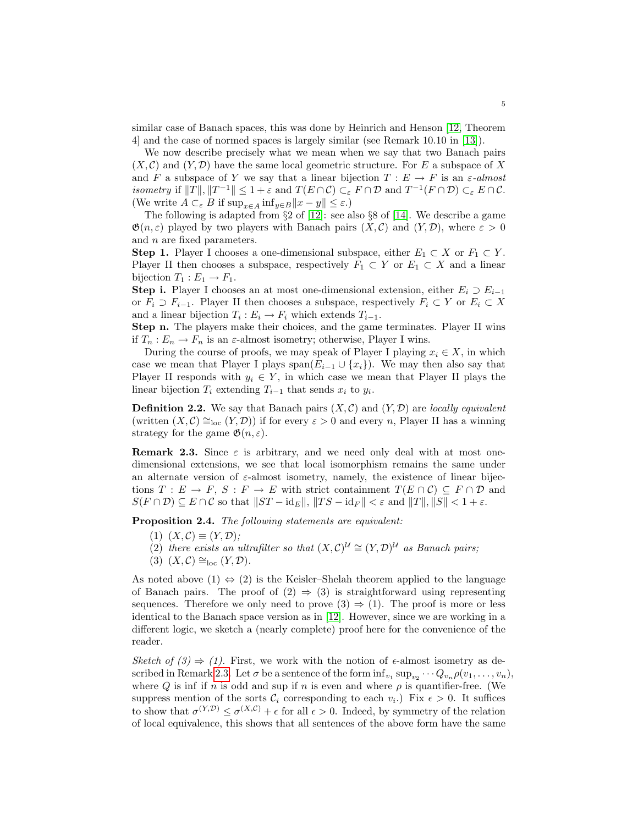similar case of Banach spaces, this was done by Heinrich and Henson [\[12,](#page-12-3) Theorem 4] and the case of normed spaces is largely similar (see Remark 10.10 in [\[13\]](#page-12-7)).

We now describe precisely what we mean when we say that two Banach pairs  $(X, \mathcal{C})$  and  $(Y, \mathcal{D})$  have the same local geometric structure. For E a subspace of X and F a subspace of Y we say that a linear bijection  $T : E \to F$  is an  $\varepsilon$ -almost isometry if  $||T||, ||T^{-1}|| \leq 1 + \varepsilon$  and  $T(E \cap C) \subset_{\varepsilon} F \cap \mathcal{D}$  and  $T^{-1}(F \cap \mathcal{D}) \subset_{\varepsilon} E \cap \mathcal{C}$ . (We write  $A \subset_{\varepsilon} B$  if  $\sup_{x \in A} \inf_{y \in B} ||x - y|| \leq \varepsilon$ .)

The following is adapted from  $\S 2$  of [\[12\]](#page-12-3): see also  $\S 8$  of [\[14\]](#page-12-6). We describe a game  $\mathfrak{G}(n,\varepsilon)$  played by two players with Banach pairs  $(X,\mathcal{C})$  and  $(Y,\mathcal{D})$ , where  $\varepsilon > 0$ and  $n$  are fixed parameters.

**Step 1.** Player I chooses a one-dimensional subspace, either  $E_1 \subset X$  or  $F_1 \subset Y$ . Player II then chooses a subspace, respectively  $F_1 \subset Y$  or  $E_1 \subset X$  and a linear bijection  $T_1 : E_1 \to F_1$ .

**Step i.** Player I chooses an at most one-dimensional extension, either  $E_i \supset E_{i-1}$ or  $F_i \supset F_{i-1}$ . Player II then chooses a subspace, respectively  $F_i \subset Y$  or  $E_i \subset X$ and a linear bijection  $T_i : E_i \to F_i$  which extends  $T_{i-1}$ .

Step n. The players make their choices, and the game terminates. Player II wins if  $T_n : E_n \to F_n$  is an  $\varepsilon$ -almost isometry; otherwise, Player I wins.

During the course of proofs, we may speak of Player I playing  $x_i \in X$ , in which case we mean that Player I plays span $(E_{i-1} \cup \{x_i\})$ . We may then also say that Player II responds with  $y_i \in Y$ , in which case we mean that Player II plays the linear bijection  $T_i$  extending  $T_{i-1}$  that sends  $x_i$  to  $y_i$ .

**Definition 2.2.** We say that Banach pairs  $(X, \mathcal{C})$  and  $(Y, \mathcal{D})$  are *locally equivalent* (written  $(X, \mathcal{C}) \cong_{loc} (Y, \mathcal{D})$ ) if for every  $\varepsilon > 0$  and every n, Player II has a winning strategy for the game  $\mathfrak{G}(n,\varepsilon)$ .

<span id="page-4-0"></span>**Remark 2.3.** Since  $\varepsilon$  is arbitrary, and we need only deal with at most onedimensional extensions, we see that local isomorphism remains the same under an alternate version of  $\varepsilon$ -almost isometry, namely, the existence of linear bijections  $T : E \to F$ ,  $S : F \to E$  with strict containment  $T(E \cap C) \subseteq F \cap D$  and  $S(F \cap \mathcal{D}) \subseteq E \cap \mathcal{C}$  so that  $||ST - id_E||, ||TS - id_F|| < \varepsilon$  and  $||T||, ||S|| < 1 + \varepsilon$ .

<span id="page-4-1"></span>Proposition 2.4. The following statements are equivalent:

- $(1)$   $(X, \mathcal{C}) \equiv (Y, \mathcal{D});$
- (2) there exists an ultrafilter so that  $(X, \mathcal{C})^{\mathcal{U}} \cong (Y, \mathcal{D})^{\mathcal{U}}$  as Banach pairs;
- (3)  $(X, \mathcal{C}) \cong_{\text{loc}} (Y, \mathcal{D}).$

As noted above  $(1) \Leftrightarrow (2)$  is the Keisler–Shelah theorem applied to the language of Banach pairs. The proof of  $(2) \Rightarrow (3)$  is straightforward using representing sequences. Therefore we only need to prove  $(3) \Rightarrow (1)$ . The proof is more or less identical to the Banach space version as in [\[12\]](#page-12-3). However, since we are working in a different logic, we sketch a (nearly complete) proof here for the convenience of the reader.

Sketch of  $(3) \Rightarrow (1)$ . First, we work with the notion of  $\epsilon$ -almost isometry as de-scribed in Remark [2.3.](#page-4-0) Let  $\sigma$  be a sentence of the form  $\inf_{v_1} \sup_{v_2} \cdots Q_{v_n} \rho(v_1, \ldots, v_n)$ , where Q is inf if n is odd and sup if n is even and where  $\rho$  is quantifier-free. (We suppress mention of the sorts  $\mathcal{C}_i$  corresponding to each  $v_i$ .) Fix  $\epsilon > 0$ . It suffices to show that  $\sigma^{(Y,\mathcal{D})} \leq \sigma^{(X,\mathcal{C})} + \epsilon$  for all  $\epsilon > 0$ . Indeed, by symmetry of the relation of local equivalence, this shows that all sentences of the above form have the same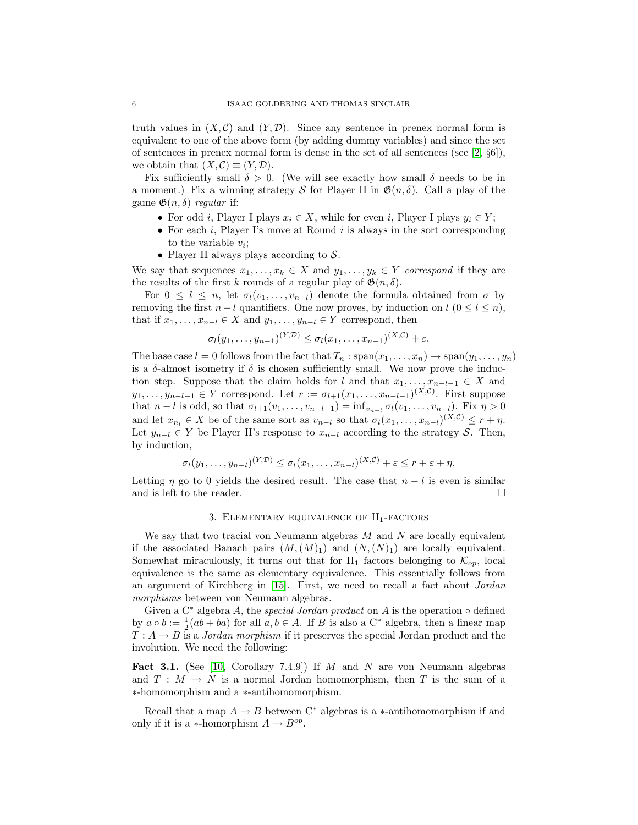truth values in  $(X, \mathcal{C})$  and  $(Y, \mathcal{D})$ . Since any sentence in prenex normal form is equivalent to one of the above form (by adding dummy variables) and since the set of sentences in prenex normal form is dense in the set of all sentences (see  $[2, \S6]$ ), we obtain that  $(X, \mathcal{C}) \equiv (Y, \mathcal{D}).$ 

Fix sufficiently small  $\delta > 0$ . (We will see exactly how small  $\delta$  needs to be in a moment.) Fix a winning strategy S for Player II in  $\mathfrak{G}(n, \delta)$ . Call a play of the game  $\mathfrak{G}(n, \delta)$  regular if:

- For odd *i*, Player I plays  $x_i \in X$ , while for even *i*, Player I plays  $y_i \in Y$ ;
- For each i, Player I's move at Round i is always in the sort corresponding to the variable  $v_i$ ;
- Player II always plays according to  $S$ .

We say that sequences  $x_1, \ldots, x_k \in X$  and  $y_1, \ldots, y_k \in Y$  correspond if they are the results of the first k rounds of a regular play of  $\mathfrak{G}(n, \delta)$ .

For  $0 \leq l \leq n$ , let  $\sigma_l(v_1, \ldots, v_{n-l})$  denote the formula obtained from  $\sigma$  by removing the first  $n - l$  quantifiers. One now proves, by induction on  $l$  ( $0 \le l \le n$ ), that if  $x_1, \ldots, x_{n-l} \in X$  and  $y_1, \ldots, y_{n-l} \in Y$  correspond, then

$$
\sigma_l(y_1,\ldots,y_{n-1})^{(Y,\mathcal{D})}\leq \sigma_l(x_1,\ldots,x_{n-1})^{(X,\mathcal{C})}+\varepsilon.
$$

The base case  $l = 0$  follows from the fact that  $T_n : span(x_1, \ldots, x_n) \to span(y_1, \ldots, y_n)$ is a  $\delta$ -almost isometry if  $\delta$  is chosen sufficiently small. We now prove the induction step. Suppose that the claim holds for l and that  $x_1, \ldots, x_{n-l-1} \in X$  and  $y_1, \ldots, y_{n-l-1} \in Y$  correspond. Let  $r := \sigma_{l+1}(x_1, \ldots, x_{n-l-1})^{(X,\mathcal{C})}$ . First suppose that  $n - l$  is odd, so that  $\sigma_{l+1}(v_1, \ldots, v_{n-l-1}) = \inf_{v_{n-l}} \sigma_l(v_1, \ldots, v_{n-l})$ . Fix  $\eta > 0$ and let  $x_{n_l} \in X$  be of the same sort as  $v_{n-l}$  so that  $\sigma_l(x_1, \ldots, x_{n-l})^{(X,\mathcal{C})} \leq r + \eta$ . Let  $y_{n-l} \in Y$  be Player II's response to  $x_{n-l}$  according to the strategy S. Then, by induction,

$$
\sigma_l(y_1,\ldots,y_{n-l})^{(Y,\mathcal{D})} \leq \sigma_l(x_1,\ldots,x_{n-l})^{(X,\mathcal{C})} + \varepsilon \leq r + \varepsilon + \eta.
$$

Letting  $\eta$  go to 0 yields the desired result. The case that  $n - l$  is even is similar and is left to the reader.  $\Box$ 

## 3. ELEMENTARY EQUIVALENCE OF  $II_1$ -FACTORS

We say that two tracial von Neumann algebras  $M$  and  $N$  are locally equivalent if the associated Banach pairs  $(M,(M)_1)$  and  $(N,(N)_1)$  are locally equivalent. Somewhat miraculously, it turns out that for  $II_1$  factors belonging to  $\mathcal{K}_{op}$ , local equivalence is the same as elementary equivalence. This essentially follows from an argument of Kirchberg in [\[15\]](#page-12-4). First, we need to recall a fact about Jordan morphisms between von Neumann algebras.

Given a  $C^*$  algebra A, the *special Jordan product* on A is the operation  $\circ$  defined by  $a \circ b := \frac{1}{2}(ab + ba)$  for all  $a, b \in A$ . If B is also a C<sup>\*</sup> algebra, then a linear map  $T: A \rightarrow B$  is a *Jordan morphism* if it preserves the special Jordan product and the involution. We need the following:

**Fact 3.1.** (See [\[10,](#page-12-8) Corollary 7.4.9]) If M and N are von Neumann algebras and  $T : M \to N$  is a normal Jordan homomorphism, then T is the sum of a ∗-homomorphism and a ∗-antihomomorphism.

Recall that a map  $A \to B$  between  $C^*$  algebras is a  $*$ -antihomomorphism if and only if it is a ∗-homorphism  $A \to B^{op}$ .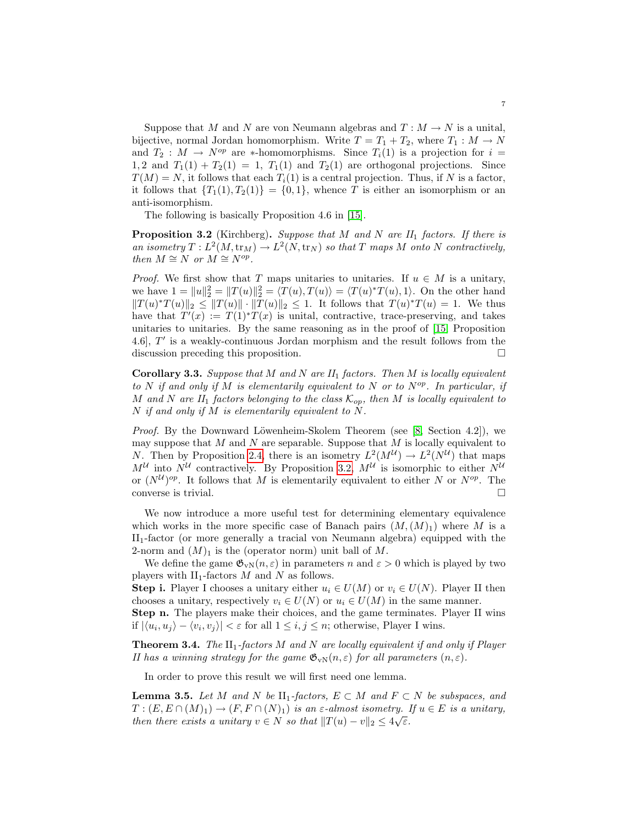Suppose that M and N are von Neumann algebras and  $T : M \to N$  is a unital, bijective, normal Jordan homomorphism. Write  $T = T_1 + T_2$ , where  $T_1 : M \to N$ and  $T_2 : M \to N^{op}$  are \*-homomorphisms. Since  $T_i(1)$  is a projection for  $i =$ 1, 2 and  $T_1(1) + T_2(1) = 1$ ,  $T_1(1)$  and  $T_2(1)$  are orthogonal projections. Since  $T(M) = N$ , it follows that each  $T_i(1)$  is a central projection. Thus, if N is a factor, it follows that  ${T_1(1), T_2(1)} = {0, 1}$ , whence T is either an isomorphism or an anti-isomorphism.

The following is basically Proposition 4.6 in [\[15\]](#page-12-4).

<span id="page-6-0"></span>**Proposition 3.2** (Kirchberg). Suppose that M and N are  $II_1$  factors. If there is an isometry  $T: L^2(M, \text{tr}_M) \to L^2(N, \text{tr}_N)$  so that T maps M onto N contractively, then  $M \cong N$  or  $M \cong N^{op}$ .

*Proof.* We first show that T maps unitaries to unitaries. If  $u \in M$  is a unitary, we have  $1 = ||u||_2^2 = ||T(u)||_2^2 = \langle T(u), T(u) \rangle = \langle T(u)^* T(u), 1 \rangle$ . On the other hand  $||T(u)^*T(u)||_2 \le ||T(u)|| \cdot ||T(u)||_2 \le 1$ . It follows that  $T(u)^*T(u) = 1$ . We thus have that  $T'(x) := T(1)^*T(x)$  is unital, contractive, trace-preserving, and takes unitaries to unitaries. By the same reasoning as in the proof of [\[15,](#page-12-4) Proposition 4.6,  $T'$  is a weakly-continuous Jordan morphism and the result follows from the discussion preceding this proposition.

**Corollary 3.3.** Suppose that M and N are  $II_1$  factors. Then M is locally equivalent to N if and only if M is elementarily equivalent to N or to  $N^{op}$ . In particular, if M and N are  $II_1$  factors belonging to the class  $\mathcal{K}_{op}$ , then M is locally equivalent to  $N$  if and only if  $M$  is elementarily equivalent to  $N$ .

*Proof.* By the Downward Löwenheim-Skolem Theorem (see [\[8,](#page-12-1) Section 4.2]), we may suppose that  $M$  and  $N$  are separable. Suppose that  $M$  is locally equivalent to N. Then by Proposition [2.4,](#page-4-1) there is an isometry  $L^2(M^{\mathcal{U}}) \to L^2(N^{\mathcal{U}})$  that maps  $M^{\mathcal{U}}$  into  $N^{\mathcal{U}}$  contractively. By Proposition [3.2,](#page-6-0)  $M^{\mathcal{U}}$  is isomorphic to either  $N^{\mathcal{U}}$ or  $(N^{\mathcal{U}})^{op}$ . It follows that M is elementarily equivalent to either N or  $N^{op}$ . The converse is trivial.  $\hfill \square$ 

We now introduce a more useful test for determining elementary equivalence which works in the more specific case of Banach pairs  $(M,(M)_1)$  where M is a II1-factor (or more generally a tracial von Neumann algebra) equipped with the 2-norm and  $(M)_1$  is the (operator norm) unit ball of M.

We define the game  $\mathfrak{G}_{vN}(n,\varepsilon)$  in parameters n and  $\varepsilon > 0$  which is played by two players with  $II_1$ -factors  $M$  and  $N$  as follows.

**Step i.** Player I chooses a unitary either  $u_i \in U(M)$  or  $v_i \in U(N)$ . Player II then chooses a unitary, respectively  $v_i \in U(N)$  or  $u_i \in U(M)$  in the same manner.

Step n. The players make their choices, and the game terminates. Player II wins if  $|\langle u_i, u_j \rangle - \langle v_i, v_j \rangle| < \varepsilon$  for all  $1 \leq i, j \leq n$ ; otherwise, Player I wins.

<span id="page-6-1"></span>**Theorem 3.4.** The  $II_1$ -factors M and N are locally equivalent if and only if Player II has a winning strategy for the game  $\mathfrak{G}_{vN}(n,\varepsilon)$  for all parameters  $(n,\varepsilon)$ .

In order to prove this result we will first need one lemma.

<span id="page-6-2"></span>**Lemma 3.5.** Let M and N be  $\text{II}_1$ -factors,  $E \subset M$  and  $F \subset N$  be subspaces, and  $T : (E, E \cap (M)_1) \to (F, F \cap (N)_1)$  is an  $\varepsilon$ -almost isometry. If  $u \in E$  is a unitary, then there exists a unitary  $v \in N$  so that  $||T(u) - v||_2 \leq 4\sqrt{\varepsilon}$ .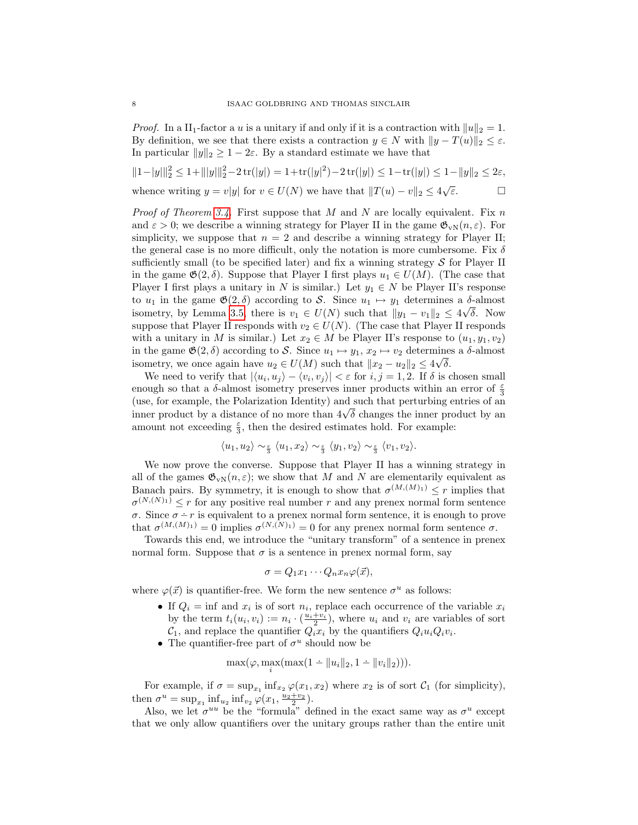*Proof.* In a  $II_1$ -factor a u is a unitary if and only if it is a contraction with  $||u||_2 = 1$ . By definition, we see that there exists a contraction  $y \in N$  with  $||y - T(u)||_2 \leq \varepsilon$ . In particular  $||y||_2 \geq 1 - 2\varepsilon$ . By a standard estimate we have that

$$
||1 - |y||_2^2 \le 1 + |||y||_2^2 - 2 \operatorname{tr}(|y|) = 1 + \operatorname{tr}(|y|^2) - 2 \operatorname{tr}(|y|) \le 1 - \operatorname{tr}(|y|) \le 1 - ||y||_2 \le 2\varepsilon,
$$
  
whence writing  $y = v|y|$  for  $v \in U(N)$  we have that  $||T(u) - v||_2 \le 4\sqrt{\varepsilon}$ .

*Proof of Theorem [3.4.](#page-6-1)* First suppose that M and N are locally equivalent. Fix n and  $\varepsilon > 0$ ; we describe a winning strategy for Player II in the game  $\mathfrak{G}_{vN}(n, \varepsilon)$ . For simplicity, we suppose that  $n = 2$  and describe a winning strategy for Player II; the general case is no more difficult, only the notation is more cumbersome. Fix  $\delta$ sufficiently small (to be specified later) and fix a winning strategy  $S$  for Player II in the game  $\mathfrak{G}(2,\delta)$ . Suppose that Player I first plays  $u_1 \in U(M)$ . (The case that Player I first plays a unitary in N is similar.) Let  $y_1 \in N$  be Player II's response to  $u_1$  in the game  $\mathfrak{G}(2,\delta)$  according to S. Since  $u_1 \mapsto y_1$  determines a  $\delta$ -almost isometry, by Lemma [3.5,](#page-6-2) there is  $v_1 \in U(N)$  such that  $||y_1 - v_1||_2 \leq 4\sqrt{\delta}$ . Now suppose that Player II responds with  $v_2 \in U(N)$ . (The case that Player II responds with a unitary in M is similar.) Let  $x_2 \in M$  be Player II's response to  $(u_1, y_1, v_2)$ in the game  $\mathfrak{G}(2,\delta)$  according to S. Since  $u_1 \mapsto y_1, x_2 \mapsto v_2$  determines a  $\delta$ -almost isometry, we once again have  $u_2 \in U(M)$  such that  $||x_2 - u_2||_2 \leq 4\sqrt{\delta}$ .

We need to verify that  $|\langle u_i, u_j \rangle - \langle v_i, v_j \rangle| < \varepsilon$  for  $i, j = 1, 2$ . If  $\delta$  is chosen small enough so that a  $\delta$ -almost isometry preserves inner products within an error of  $\frac{\varepsilon}{3}$ (use, for example, the Polarization Identity) and such that perturbing entries of an (use, for example, the Polarization identity) and such that perturbing entries of an<br>inner product by a distance of no more than  $4\sqrt{\delta}$  changes the inner product by an amount not exceeding  $\frac{\varepsilon}{3}$ , then the desired estimates hold. For example:

$$
\langle u_1, u_2 \rangle \sim_{\frac{\varepsilon}{3}} \langle u_1, x_2 \rangle \sim_{\frac{\varepsilon}{3}} \langle y_1, v_2 \rangle \sim_{\frac{\varepsilon}{3}} \langle v_1, v_2 \rangle.
$$

We now prove the converse. Suppose that Player II has a winning strategy in all of the games  $\mathfrak{G}_{\nu N}(n,\varepsilon)$ ; we show that M and N are elementarily equivalent as Banach pairs. By symmetry, it is enough to show that  $\sigma^{(M,(M)_1)} \leq r$  implies that  $\sigma^{(N,(N)_1)} \leq r$  for any positive real number r and any prenex normal form sentence  $\sigma$ . Since  $\sigma - r$  is equivalent to a prenex normal form sentence, it is enough to prove that  $\sigma^{(M,(M)_1)} = 0$  implies  $\sigma^{(N,(N)_1)} = 0$  for any prenex normal form sentence  $\sigma$ .

Towards this end, we introduce the "unitary transform" of a sentence in prenex normal form. Suppose that  $\sigma$  is a sentence in prenex normal form, say

$$
\sigma = Q_1 x_1 \cdots Q_n x_n \varphi(\vec{x}),
$$

where  $\varphi(\vec{x})$  is quantifier-free. We form the new sentence  $\sigma^u$  as follows:

- If  $Q_i = \inf$  and  $x_i$  is of sort  $n_i$ , replace each occurrence of the variable  $x_i$ by the term  $t_i(u_i, v_i) := n_i \cdot (\frac{u_i + v_i}{2})$ , where  $u_i$  and  $v_i$  are variables of sort  $\mathcal{C}_1$ , and replace the quantifier  $Q_i x_i$  by the quantifiers  $Q_i u_i Q_i v_i$ .
- The quantifier-free part of  $\sigma^u$  should now be

$$
\max(\varphi, \max_{i}(\max(1 + \|u_i\|_2, 1 + \|v_i\|_2))).
$$

For example, if  $\sigma = \sup_{x_1} \inf_{x_2} \varphi(x_1, x_2)$  where  $x_2$  is of sort  $\mathcal{C}_1$  (for simplicity), then  $\sigma^u = \sup_{x_1} \inf_{u_2} \inf_{v_2} \varphi(x_1, \frac{u_2 + v_2}{2}).$ 

Also, we let  $\sigma^{uu}$  be the "formula" defined in the exact same way as  $\sigma^u$  except that we only allow quantifiers over the unitary groups rather than the entire unit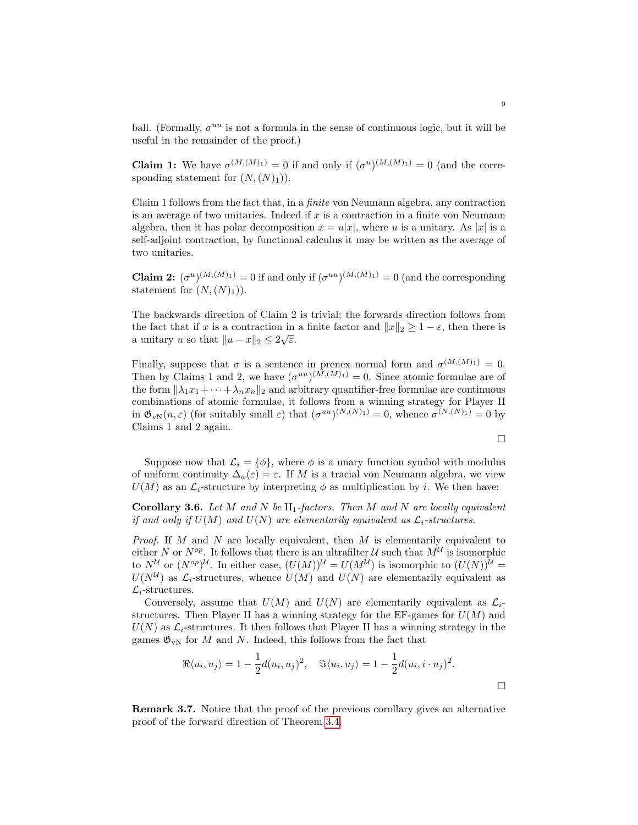ball. (Formally,  $\sigma^{uu}$  is not a formula in the sense of continuous logic, but it will be useful in the remainder of the proof.)

**Claim 1:** We have  $\sigma^{(M,(M)_1)} = 0$  if and only if  $(\sigma^u)^{(M,(M)_1)} = 0$  (and the corresponding statement for  $(N,(N)_1)$ .

Claim 1 follows from the fact that, in a finite von Neumann algebra, any contraction is an average of two unitaries. Indeed if  $x$  is a contraction in a finite von Neumann algebra, then it has polar decomposition  $x = u|x|$ , where u is a unitary. As |x| is a self-adjoint contraction, by functional calculus it may be written as the average of two unitaries.

**Claim 2:**  $(\sigma^u)^{(M,(M)_1)} = 0$  if and only if  $(\sigma^{uu})^{(M,(M)_1)} = 0$  (and the corresponding statement for  $(N,(N)_1)$ .

The backwards direction of Claim 2 is trivial; the forwards direction follows from the fact that if x is a contraction in a finite factor and  $||x||_2 \geq 1 - \varepsilon$ , then there is a unitary u so that  $||u - x||_2 \leq 2\sqrt{\varepsilon}$ .

Finally, suppose that  $\sigma$  is a sentence in prenex normal form and  $\sigma^{(M,(M)_1)}=0$ . Then by Claims 1 and 2, we have  $(\sigma^{uu})^{(M,(M)_1)}=0$ . Since atomic formulae are of the form  $\|\lambda_1x_1 + \cdots + \lambda_nx_n\|_2$  and arbitrary quantifier-free formulae are continuous combinations of atomic formulae, it follows from a winning strategy for Player II in  $\mathfrak{G}_{vN}(n,\varepsilon)$  (for suitably small  $\varepsilon$ ) that  $(\sigma^{uu})^{(N,(N)_1)}=0$ , whence  $\sigma^{(N,(N)_1)}=0$  by Claims 1 and 2 again.

$$
\Box
$$

Suppose now that  $\mathcal{L}_i = {\phi}$ , where  $\phi$  is a unary function symbol with modulus of uniform continuity  $\Delta_{\phi}(\varepsilon) = \varepsilon$ . If M is a tracial von Neumann algebra, we view  $U(M)$  as an  $\mathcal{L}_i$ -structure by interpreting  $\phi$  as multiplication by i. We then have:

**Corollary 3.6.** Let M and N be  $II_1$ -factors. Then M and N are locally equivalent if and only if  $U(M)$  and  $U(N)$  are elementarily equivalent as  $\mathcal{L}_i$ -structures.

*Proof.* If  $M$  and  $N$  are locally equivalent, then  $M$  is elementarily equivalent to either N or  $N^{op}$ . It follows that there is an ultrafilter U such that  $M^{\mathcal{U}}$  is isomorphic to  $N^{\mathcal{U}}$  or  $(N^{op})^{\mathcal{U}}$ . In either case,  $(U(M))^{\mathcal{U}} = U(M^{\mathcal{U}})$  is isomorphic to  $(U(N))^{\mathcal{U}} =$  $U(N^{\mathcal{U}})$  as  $\mathcal{L}_i$ -structures, whence  $U(M)$  and  $U(N)$  are elementarily equivalent as  $\mathcal{L}_i$ -structures.

Conversely, assume that  $U(M)$  and  $U(N)$  are elementarily equivalent as  $\mathcal{L}_i$ structures. Then Player II has a winning strategy for the  $EF$ -games for  $U(M)$  and  $U(N)$  as  $\mathcal{L}_i$ -structures. It then follows that Player II has a winning strategy in the games  $\mathfrak{G}_{vN}$  for M and N. Indeed, this follows from the fact that

$$
\Re\langle u_i, u_j \rangle = 1 - \frac{1}{2}d(u_i, u_j)^2, \quad \Im\langle u_i, u_j \rangle = 1 - \frac{1}{2}d(u_i, i \cdot u_j)^2.
$$

<span id="page-8-0"></span>Remark 3.7. Notice that the proof of the previous corollary gives an alternative proof of the forward direction of Theorem [3.4.](#page-6-1)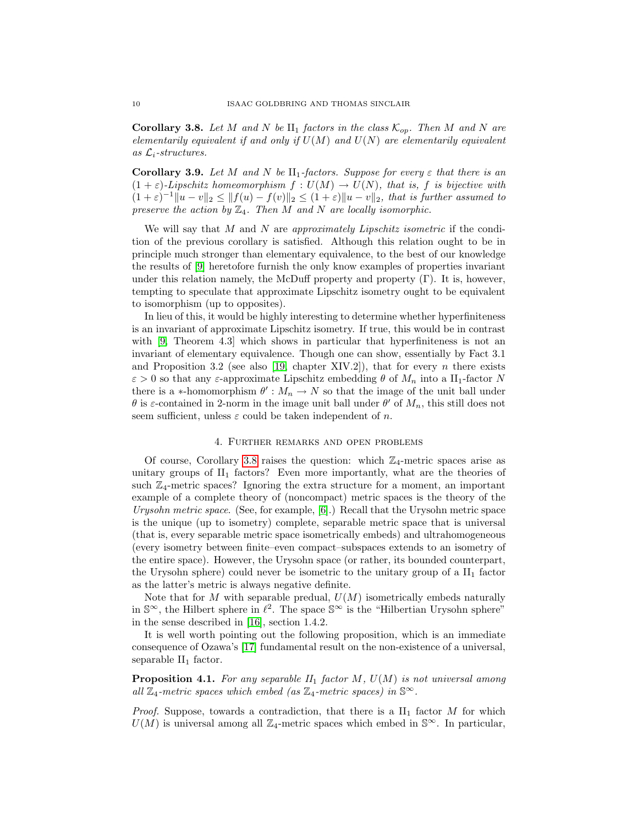**Corollary 3.8.** Let M and N be  $II_1$  factors in the class  $\mathcal{K}_{op}$ . Then M and N are elementarily equivalent if and only if  $U(M)$  and  $U(N)$  are elementarily equivalent as  $\mathcal{L}_i$ -structures.

Corollary 3.9. Let M and N be  $II_1$ -factors. Suppose for every  $\varepsilon$  that there is an  $(1 + \varepsilon)$ -Lipschitz homeomorphism  $f: U(M) \to U(N)$ , that is, f is bijective with  $(1+\varepsilon)^{-1}||u-v||_2 \leq ||f(u)-f(v)||_2 \leq (1+\varepsilon)||u-v||_2$ , that is further assumed to preserve the action by  $\mathbb{Z}_4$ . Then M and N are locally isomorphic.

We will say that  $M$  and  $N$  are *approximately Lipschitz isometric* if the condition of the previous corollary is satisfied. Although this relation ought to be in principle much stronger than elementary equivalence, to the best of our knowledge the results of [\[9\]](#page-12-2) heretofore furnish the only know examples of properties invariant under this relation namely, the McDuff property and property  $(\Gamma)$ . It is, however, tempting to speculate that approximate Lipschitz isometry ought to be equivalent to isomorphism (up to opposites).

In lieu of this, it would be highly interesting to determine whether hyperfiniteness is an invariant of approximate Lipschitz isometry. If true, this would be in contrast with [\[9,](#page-12-2) Theorem 4.3] which shows in particular that hyperfiniteness is not an invariant of elementary equivalence. Though one can show, essentially by Fact 3.1 and Proposition 3.2 (see also [\[19,](#page-12-9) chapter XIV.2]), that for every  $n$  there exists  $\varepsilon > 0$  so that any  $\varepsilon$ -approximate Lipschitz embedding  $\theta$  of  $M_n$  into a II<sub>1</sub>-factor N there is a  $*$ -homomorphism  $\theta' : M_n \to N$  so that the image of the unit ball under θ is ε-contained in 2-norm in the image unit ball under  $θ'$  of  $M_n$ , this still does not seem sufficient, unless  $\varepsilon$  could be taken independent of n.

#### 4. Further remarks and open problems

Of course, Corollary [3.8](#page-8-0) raises the question: which  $\mathbb{Z}_4$ -metric spaces arise as unitary groups of  $II_1$  factors? Even more importantly, what are the theories of such  $\mathbb{Z}_4$ -metric spaces? Ignoring the extra structure for a moment, an important example of a complete theory of (noncompact) metric spaces is the theory of the Urysohn metric space. (See, for example,  $[6]$ .) Recall that the Urysohn metric space is the unique (up to isometry) complete, separable metric space that is universal (that is, every separable metric space isometrically embeds) and ultrahomogeneous (every isometry between finite–even compact–subspaces extends to an isometry of the entire space). However, the Urysohn space (or rather, its bounded counterpart, the Urysohn sphere) could never be isometric to the unitary group of a  $II_1$  factor as the latter's metric is always negative definite.

Note that for  $M$  with separable predual,  $U(M)$  isometrically embeds naturally in  $\mathbb{S}^{\infty}$ , the Hilbert sphere in  $\ell^2$ . The space  $\mathbb{S}^{\infty}$  is the "Hilbertian Urysohn sphere" in the sense described in [\[16\]](#page-12-11), section 1.4.2.

It is well worth pointing out the following proposition, which is an immediate consequence of Ozawa's [\[17\]](#page-12-12) fundamental result on the non-existence of a universal, separable  $II_1$  factor.

<span id="page-9-0"></span>**Proposition 4.1.** For any separable  $II_1$  factor  $M$ ,  $U(M)$  is not universal among all  $\mathbb{Z}_4$ -metric spaces which embed (as  $\mathbb{Z}_4$ -metric spaces) in  $\mathbb{S}^{\infty}$ .

*Proof.* Suppose, towards a contradiction, that there is a  $II_1$  factor M for which  $U(M)$  is universal among all  $\mathbb{Z}_4$ -metric spaces which embed in  $\mathbb{S}^{\infty}$ . In particular,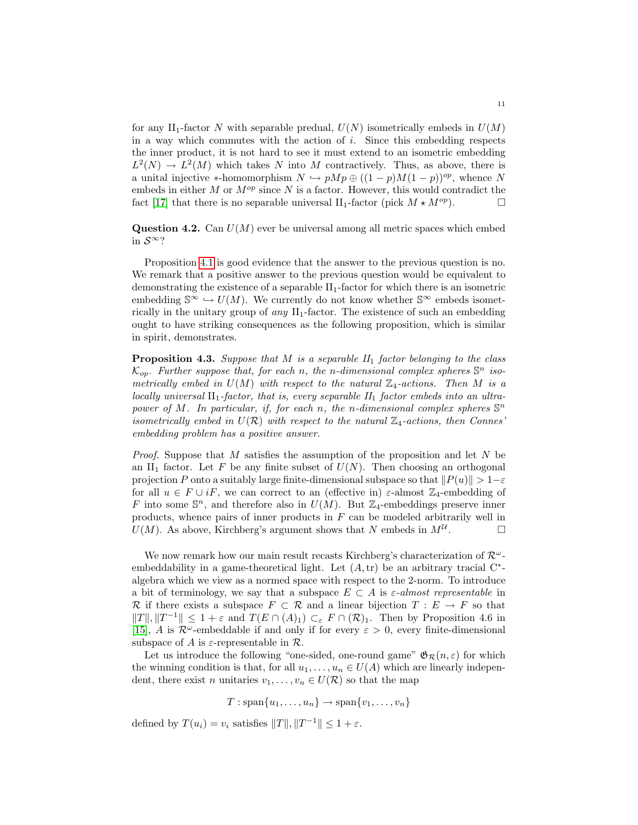for any II<sub>1</sub>-factor N with separable predual,  $U(N)$  isometrically embeds in  $U(M)$ in a way which commutes with the action of  $i$ . Since this embedding respects the inner product, it is not hard to see it must extend to an isometric embedding  $L^2(N) \to L^2(M)$  which takes N into M contractively. Thus, as above, there is a unital injective \*-homomorphism  $N \hookrightarrow pMp \oplus ((1 - p)M(1 - p))^{op}$ , whence N embeds in either  $M$  or  $M^{op}$  since  $N$  is a factor. However, this would contradict the fact [\[17\]](#page-12-12) that there is no separable universal  $II_1$ -factor (pick  $M \star M^{op}$ ).

**Question 4.2.** Can  $U(M)$  ever be universal among all metric spaces which embed in S<sup>∞</sup>?

Proposition [4.1](#page-9-0) is good evidence that the answer to the previous question is no. We remark that a positive answer to the previous question would be equivalent to demonstrating the existence of a separable  $II_1$ -factor for which there is an isometric embedding  $\mathbb{S}^{\infty} \hookrightarrow U(M)$ . We currently do not know whether  $\mathbb{S}^{\infty}$  embeds isometrically in the unitary group of  $any$   $II<sub>1</sub>$ -factor. The existence of such an embedding ought to have striking consequences as the following proposition, which is similar in spirit, demonstrates.

**Proposition 4.3.** Suppose that M is a separable  $II_1$  factor belonging to the class  $\mathcal{K}_{op}$ . Further suppose that, for each n, the n-dimensional complex spheres  $\mathbb{S}^n$  isometrically embed in  $U(M)$  with respect to the natural  $\mathbb{Z}_4$ -actions. Then M is a locally universal  $II_1$ -factor, that is, every separable  $II_1$  factor embeds into an ultrapower of M. In particular, if, for each n, the n-dimensional complex spheres  $\mathbb{S}^n$ isometrically embed in  $U(\mathcal{R})$  with respect to the natural  $\mathbb{Z}_4$ -actions, then Connes embedding problem has a positive answer.

*Proof.* Suppose that  $M$  satisfies the assumption of the proposition and let  $N$  be an II<sub>1</sub> factor. Let F be any finite subset of  $U(N)$ . Then choosing an orthogonal projection P onto a suitably large finite-dimensional subspace so that  $||P(u)|| > 1-\varepsilon$ for all  $u \in F \cup iF$ , we can correct to an (effective in)  $\varepsilon$ -almost  $\mathbb{Z}_4$ -embedding of F into some  $\mathbb{S}^n$ , and therefore also in  $U(M)$ . But  $\mathbb{Z}_4$ -embeddings preserve inner products, whence pairs of inner products in  $F$  can be modeled arbitrarily well in  $U(M)$ . As above, Kirchberg's argument shows that N embeds in  $M^{\mathcal{U}}$ .

We now remark how our main result recasts Kirchberg's characterization of  $\mathcal{R}^{\omega}$ embeddability in a game-theoretical light. Let  $(A, tr)$  be an arbitrary tracial  $C^*$ algebra which we view as a normed space with respect to the 2-norm. To introduce a bit of terminology, we say that a subspace  $E \subset A$  is  $\varepsilon$ -almost representable in R if there exists a subspace  $F \subset \mathcal{R}$  and a linear bijection  $T : E \to F$  so that  $||T||, ||T^{-1}|| \leq 1 + \varepsilon$  and  $T(E \cap (A)_1) \subset_{\varepsilon} F \cap (R)_1$ . Then by Proposition 4.6 in [\[15\]](#page-12-4), A is  $\mathcal{R}^{\omega}$ -embeddable if and only if for every  $\varepsilon > 0$ , every finite-dimensional subspace of A is  $\varepsilon$ -representable in  $\mathcal{R}$ .

Let us introduce the following "one-sided, one-round game"  $\mathfrak{G}_{\mathcal{R}}(n,\varepsilon)$  for which the winning condition is that, for all  $u_1, \ldots, u_n \in U(A)$  which are linearly independent, there exist *n* unitaries  $v_1, \ldots, v_n \in U(\mathcal{R})$  so that the map

 $T : \text{span}\{u_1, \ldots, u_n\} \to \text{span}\{v_1, \ldots, v_n\}$ 

defined by  $T(u_i) = v_i$  satisfies  $||T||, ||T^{-1}|| \leq 1 + \varepsilon$ .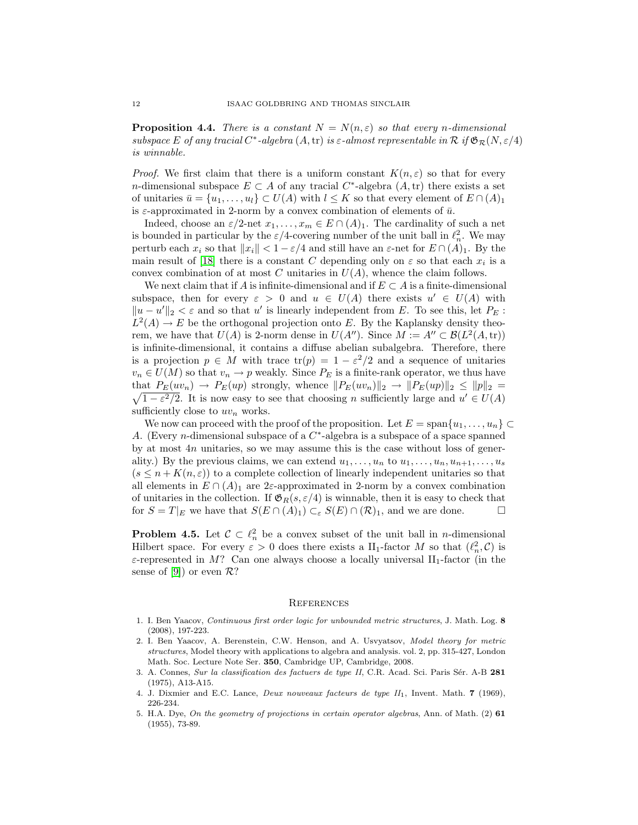**Proposition 4.4.** There is a constant  $N = N(n, \varepsilon)$  so that every n-dimensional subspace E of any tracial  $C^*$ -algebra  $(A, \text{tr})$  is  $\varepsilon$ -almost representable in  $\mathcal R$  if  $\mathfrak{G}_{\mathcal{R}}(N, \varepsilon/4)$ is winnable.

*Proof.* We first claim that there is a uniform constant  $K(n, \varepsilon)$  so that for every n-dimensional subspace  $E \subset A$  of any tracial  $C^*$ -algebra  $(A, tr)$  there exists a set of unitaries  $\bar{u} = \{u_1, \ldots, u_l\} \subset U(A)$  with  $l \leq K$  so that every element of  $E \cap (A)_1$ is  $\varepsilon$ -approximated in 2-norm by a convex combination of elements of  $\bar{u}$ .

Indeed, choose an  $\varepsilon/2$ -net  $x_1, \ldots, x_m \in E \cap (A)_1$ . The cardinality of such a net is bounded in particular by the  $\varepsilon/4$ -covering number of the unit ball in  $\ell_n^2$ . We may perturb each  $x_i$  so that  $||x_i|| < 1 - \varepsilon/4$  and still have an  $\varepsilon$ -net for  $E \cap (A)_1$ . By the main result of [\[18\]](#page-12-13) there is a constant C depending only on  $\varepsilon$  so that each  $x_i$  is a convex combination of at most  $C$  unitaries in  $U(A)$ , whence the claim follows.

We next claim that if A is infinite-dimensional and if  $E \subset A$  is a finite-dimensional subspace, then for every  $\varepsilon > 0$  and  $u \in U(A)$  there exists  $u' \in U(A)$  with  $||u - u'||_2 < ε$  and so that u' is linearly independent from E. To see this, let P<sub>E</sub>:  $L^2(A) \to E$  be the orthogonal projection onto E. By the Kaplansky density theorem, we have that  $U(A)$  is 2-norm dense in  $U(A'')$ . Since  $M := A'' \subset \mathcal{B}(L^2(A, \text{tr}))$ is infinite-dimensional, it contains a diffuse abelian subalgebra. Therefore, there is a projection  $p \in M$  with trace  $tr(p) = 1 - \varepsilon^2/2$  and a sequence of unitaries  $v_n \in U(M)$  so that  $v_n \to p$  weakly. Since  $P_E$  is a finite-rank operator, we thus have  $\sqrt{1-\varepsilon^2/2}$ . It is now easy to see that choosing *n* sufficiently large and  $u' \in U(A)$ that  $P_E(uv_n) \to P_E(up)$  strongly, whence  $||P_E(uv_n)||_2 \to ||P_E(up)||_2 \le ||p||_2 =$ sufficiently close to  $uv_n$  works.

We now can proceed with the proof of the proposition. Let  $E = \text{span}\{u_1, \ldots, u_n\} \subset$ A. (Every *n*-dimensional subspace of a  $C^*$ -algebra is a subspace of a space spanned by at most 4n unitaries, so we may assume this is the case without loss of generality.) By the previous claims, we can extend  $u_1, \ldots, u_n$  to  $u_1, \ldots, u_n, u_{n+1}, \ldots, u_s$  $(s \leq n + K(n, \varepsilon))$  to a complete collection of linearly independent unitaries so that all elements in  $E \cap (A)_1$  are 2 $\varepsilon$ -approximated in 2-norm by a convex combination of unitaries in the collection. If  $\mathfrak{G}_R(s,\varepsilon/4)$  is winnable, then it is easy to check that for  $S = T|_E$  we have that  $S(E \cap (A)_1) \subset_{\varepsilon} S(E) \cap (R)_1$ , and we are done.

**Problem 4.5.** Let  $\mathcal{C} \subset \ell_n^2$  be a convex subset of the unit ball in *n*-dimensional Hilbert space. For every  $\varepsilon > 0$  does there exists a  $\text{II}_1$ -factor M so that  $(\ell_n^2, \mathcal{C})$  is  $\varepsilon$ -represented in M? Can one always choose a locally universal II<sub>1</sub>-factor (in the sense of [\[9\]](#page-12-2)) or even  $\mathcal{R}$ ?

## **REFERENCES**

- <span id="page-11-4"></span>1. I. Ben Yaacov, Continuous first order logic for unbounded metric structures, J. Math. Log. 8 (2008), 197-223.
- <span id="page-11-2"></span>2. I. Ben Yaacov, A. Berenstein, C.W. Henson, and A. Usvyatsov, Model theory for metric structures, Model theory with applications to algebra and analysis. vol. 2, pp. 315-427, London Math. Soc. Lecture Note Ser. 350, Cambridge UP, Cambridge, 2008.
- <span id="page-11-3"></span>3. A. Connes, Sur la classification des factuers de type II, C.R. Acad. Sci. Paris Sér. A-B 281 (1975), A13-A15.
- <span id="page-11-0"></span>4. J. Dixmier and E.C. Lance, *Deux nouveaux facteurs de type*  $II_1$ *, Invent. Math.* **7** (1969), 226-234.
- <span id="page-11-1"></span>5. H.A. Dye, On the geometry of projections in certain operator algebras, Ann. of Math. (2) 61 (1955), 73-89.